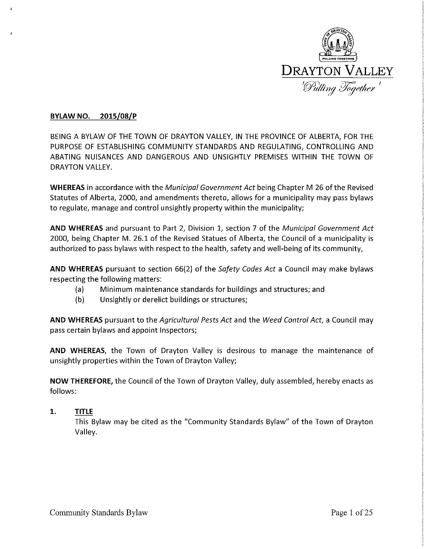

## **BYlAW NO. 2015/08/P**

BEING A BYLAW OF THE TOWN OF DRAYTON VALLEY, IN THE PROVINCE OF ALBERTA, FOR THE PURPOSE OF ESTABLISHING COMMUNITY STANDARDS AND REGULATING, CONTROLLING AND ABATING NUISANCES AND DANGEROUS AND UNSIGHTLY PREMISES WITHIN THE TOWN OF DRAYTON VALLEY.

**WHEREAS** in accordance with the *Municipal Government Act* being Chapter M 26 of the Revised Statutes of Alberta, 2000, and amendments thereto, allows for a municipality may pass bylaws to regulate, manage and control unsightly property within the municipality;

**AND WHEREAS** and pursuant to Part 2, Division 1, section 7 of the *Municipal Government Act*  2000, being Chapter M. 26.1 of the Revised Statues of Alberta, the Council of a municipality is authorized to pass bylaws with respect to the health, safety and well-being of its community,

**AND WHEREAS** pursuant to section 66(2) of the *Safety Codes Act* a Council may make bylaws respecting the following matters:

- (a) Minimum maintenance standards for buildings and structures; and
- (b) Unsightly or derelict buildings or structures;

**AND WHEREAS** pursuant to the *Agricultural Pests Act* and the *Weed Control Act,* a Council may pass certain bylaws and appoint Inspectors;

**AND WHEREAS,** the Town of Drayton Valley is desirous to manage the maintenance of unsightly properties within the Town of Drayton Valley;

**NOW THEREFORE,** the Council of the Town of Drayton Valley, duly assembled, hereby enacts as follows:

**1. TITLE**  This Bylaw may be cited as the "Community Standards Bylaw" of the Town of Drayton Valley.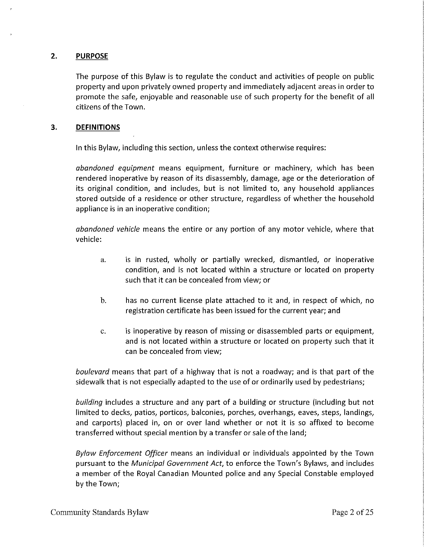## **2. PURPOSE**

The purpose of this Bylaw is to regulate the conduct and activities of people on public property and upon privately owned property and immediately adjacent areas in order to promote the safe, enjoyable and reasonable use of such property for the benefit of all citizens of the Town.

#### **3. DEFINITIONS**

In this Bylaw, including this section, unless the context otherwise requires:

*abandoned equipment* means equipment, furniture or machinery, which has been rendered inoperative by reason of its disassembly, damage, age or the deterioration of its original condition, and includes, but is not limited to, any household appliances stored outside of a residence or other structure, regardless of whether the household appliance is in an inoperative condition;

*abandoned vehicle* means the entire or any portion of any motor vehicle, where that vehicle:

- a. is in rusted, wholly or partially wrecked, dismantled, or inoperative condition, and is not located within a structure or located on property such that it can be concealed from view; or
- b. has no current license plate attached to it and, in respect of which, no registration certificate has been issued for the current year; and
- c. is inoperative by reason of missing or disassembled parts or equipment, and is not located within a structure or located on property such that it can be concealed from view;

*boulevard* means that part of a highway that is not a roadway; and is that part of the sidewalk that is not especially adapted to the use of or ordinarily used by pedestrians;

*building* includes a structure and any part of a building or structure (including but not limited to decks, patios, porticos, balconies, porches, overhangs, eaves, steps, landings, and carports) placed in, on or over land whether or not it is so affixed to become transferred without special mention by a transfer or sale ofthe land;

*Bylaw Enforcement Officer* means an individual or individuals appointed by the Town pursuant to the *Municipal Government Act,* to enforce the Town's Bylaws, and includes a member of the Royal Canadian Mounted police and any Special Constable employed by the Town;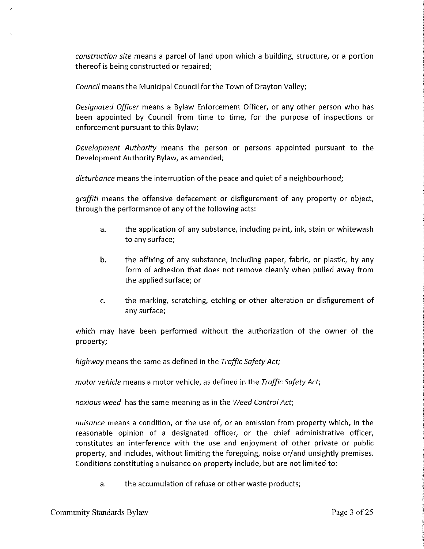*construction site* means a parcel of land upon which a building, structure, or a portion thereof is being constructed or repaired;

*Council* means the Municipal Council for the Town of Drayton Valley;

*Designated Officer* means a Bylaw Enforcement Officer, or any other person who has been appointed by Council from time to time, for the purpose of inspections or enforcement pursuant to this Bylaw;

*Development Authority* means the person or persons appointed pursuant to the Development Authority Bylaw, as amended;

*disturbance* means the interruption of the peace and quiet of a neighbourhood;

*graffiti* means the offensive defacement or disfigurement of any property or object, through the performance of any of the following acts:

- a. the application of any substance, including paint, ink, stain or whitewash to any surface;
- b. the affixing of any substance, including paper, fabric, or plastic, by any form of adhesion that does not remove cleanly when pulled away from the applied surface; or
- c. the marking, scratching, etching or other alteration or disfigurement of any surface;

which may have been performed without the authorization of the owner of the property;

*highway* means the same as defined in the *Traffic Safety Act;* 

*motor vehicle* means a motor vehicle, as defined in the *Traffic Safety Act;* 

*noxious weed* has the same meaning as in the *Weed Control Act;* 

*nuisance* means a condition, or the use of, or an emission from property which, in the reasonable opinion of a designated officer, or the chief administrative officer, constitutes an interference with the use and enjoyment of other private or public property, and includes, without limiting the foregoing, noise or/and unsightly premises. Conditions constituting a nuisance on property include, but are not limited to:

a. the accumulation of refuse or other waste products;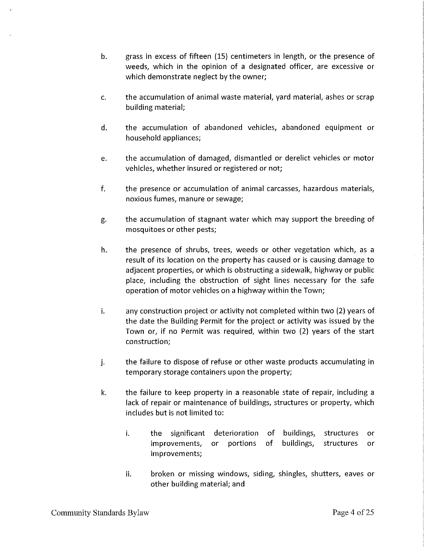- b. grass in excess of fifteen {15) centimeters in length, or the presence of weeds, which in the opinion of a designated officer, are excessive or which demonstrate neglect by the owner;
- c. the accumulation of animal waste material, yard material, ashes or scrap building material;
- d. the accumulation of abandoned vehicles, abandoned equipment or household appliances;
- e. the accumulation of damaged, dismantled or derelict vehicles or motor vehicles, whether insured or registered or not;
- f. the presence or accumulation of animal carcasses, hazardous materials, noxious fumes, manure or sewage;
- g. the accumulation of stagnant water which may support the breeding of mosquitoes or other pests;
- h. the presence of shrubs, trees, weeds or other vegetation which, as a result of its location on the property has caused or is causing damage to adjacent properties, or which is obstructing a sidewalk, highway or public place, including the obstruction of sight lines necessary for the safe operation of motor vehicles on a highway within the Town;
- i. any construction project or activity not completed within two (2) years of the date the Building Permit for the project or activity was issued by the Town or, if no Permit was required, within two {2) years of the start construction;
- j. the failure to dispose of refuse or other waste products accumulating in temporary storage containers upon the property;
- k. the failure to keep property in a reasonable state of repair, including a lack of repair or maintenance of buildings, structures or property, which includes but is not limited to:
	- i. the significant deterioration of buildings, structures improvements, or portions improvements; of buildings, structures or or
	- ii. broken or missing windows, siding, shingles, shutters, eaves or other building material; and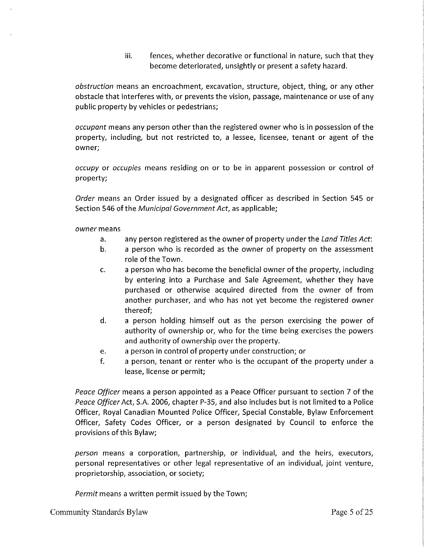iii. fences, whether decorative or functional in nature, such that they become deteriorated, unsightly or present a safety hazard.

*obstruction* means an encroachment, excavation, structure, object, thing, or any other obstacle that interferes with, or prevents the vision, passage, maintenance or use of any public property by vehicles or pedestrians;

*occupant* means any person other than the registered owner who is in possession *of* the property, including, but not restricted to, a lessee, licensee, tenant or agent of the **owner;** 

*occupy* or *occupies* means residing on or to be in apparent possession or control of property;

*Order* means an Order issued by a designated officer as described in Section 545 or Section 546 of the *Municipal Government Act*, as applicable;

*owner* means

- a. any person registered as the owner of property under the *Land Titles Act:*
- b. a person who is recorded as the owner of property on the assessment role of the Town.
- c. a person who has become the beneficial owner of the property, including by entering into a Purchase and Sale Agreement, whether they have purchased or otherwise acquired directed from the owner of from another purchaser, and who has not yet become the registered owner thereof;
- d. a person holding himself out as the person exercising the power of authority of ownership or, who for the time being exercises the powers and authority of ownership over the property.
- e. a person in control of property under construction; or
- f. a person, tenant or renter who is the occupant of the property under a lease, license or permit;

*Peace Officer* means a person appointed as a Peace Officer pursuant to section 7 of the *Peace Officer* Act, S.A. 2006, chapter P-35, and also includes but is not limited to a Police Officer, Royal Canadian Mounted Police Officer, Special Constable, Bylaw Enforcement Officer, Safety Codes Officer, or a person designated by Council to enforce the provisions of this Bylaw;

*person* means a corporation, partnership, or individual, and the heirs, executors, personal representatives or other legal representative of an individual, joint venture, proprietorship, association, or society;

*Permit* means a written permit issued by the Town;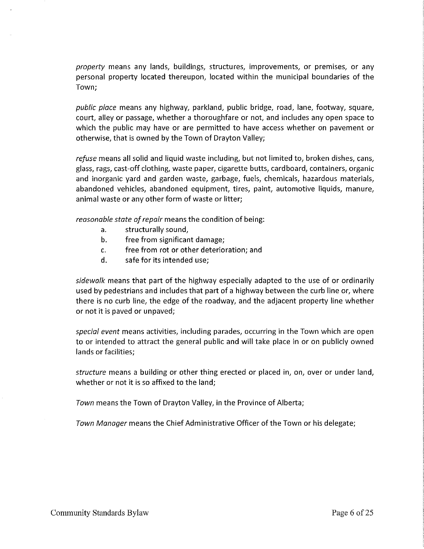*property* means any lands, buildings, structures, improvements, or premises, or any personal property located thereupon, located within the municipal boundaries of the Town;

*public place* means any highway, parkland, public bridge, road, lane, footway, square, court, alley or passage, whether a thoroughfare or not, and includes any open space to which the public may have or are permitted to have access whether on pavement or otherwise, that is owned by the Town of Drayton Valley;

*refuse* means all solid and liquid waste including, but not limited to, broken dishes, cans, glass, rags, cast-off clothing, waste paper, cigarette butts, cardboard, containers, organic and inorganic yard and garden waste, garbage, fuels, chemicals, hazardous materials, abandoned vehicles, abandoned equipment, tires, paint, automotive liquids, manure, animal waste or any other form of waste or litter;

*reasonable state of repair* means the condition of being:

- a. structurally sound,
- b. free from significant damage;
- c. free from rot or other deterioration; and
- d. safe for its intended use;

*sidewalk* means that part of the highway especially adapted to the use of or ordinarily used by pedestrians and includes that part of a highway between the curb line or, where there is no curb line, the edge of the roadway, and the adjacent property line whether or not it is paved or unpaved;

*special event* means activities, including parades, occurring in the Town which are open to or intended to attract the general public and will take place in or on publicly owned lands or facilities;

*structure* means a building or other thing erected or placed in, on, over or under land, whether or not it is so affixed to the land;

*Town* means the Town of Drayton Valley, in the Province of Alberta;

*Town Manager* means the Chief Administrative Officer of the Town or his delegate;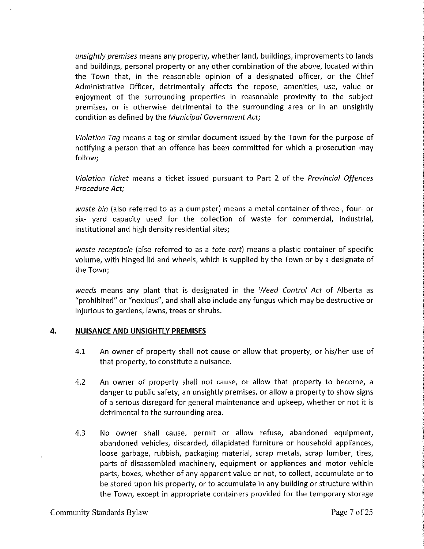*unsightly premises* means any property, whether land, buildings, improvements to lands and buildings, personal property or any other combination of the above, located within the Town that, in the reasonable opinion of a designated officer, or the Chief Administrative Officer, detrimentally affects the repose, amenities, use, value or enjoyment of the surrounding properties in reasonable proximity to the subject premises, or is otherwise detrimental to the surrounding area or in an unsightly condition as defined by the *Municipal Government Act;* 

*Violation Tag* means a tag or similar document issued by the Town for the purpose of notifying a person that an offence has been committed for which a prosecution may follow;

*Violation Ticket* means a ticket issued pursuant to Part 2 of the *Provincial Offences Procedure Act;* 

*waste bin* (also referred to as a dumpster) means a metal container of three-, four- or six- yard capacity used for the collection of waste for commercial, industrial, institutional and high density residential sites;

*waste receptacle* (also referred to as a *tote cart)* means a plastic container of specific volume, with hinged lid and wheels, which is supplied by the Town or by a designate of the Town;

*weeds* means any plant that is designated in the *Weed Control Act* of Alberta as "prohibited" or "noxious", and shall also include any fungus which may be destructive or injurious to gardens, lawns, trees or shrubs.

#### **4. NUISANCE AND UNSIGHTLY PREMISES**

- 4.1 An owner of property shall not cause or allow that property, or his/her use of that property, to constitute a nuisance.
- 4.2 An owner of property shall not cause, or allow that property to become, a danger to public safety, an unsightly premises, or allow a property to show signs of a serious disregard for general maintenance and upkeep, whether or not it is detrimental to the surrounding area.
- 4.3 No owner shall cause, permit or allow refuse, abandoned equipment, abandoned vehicles, discarded, dilapidated furniture or household appliances, loose garbage, rubbish, packaging material, scrap metals, scrap lumber, tires, parts of disassembled machinery, equipment or appliances and motor vehicle parts, boxes, whether of any apparent value or not, to collect, accumulate or to be stored upon his property, or to accumulate in any building or structure within the Town, except in appropriate containers provided for the temporary storage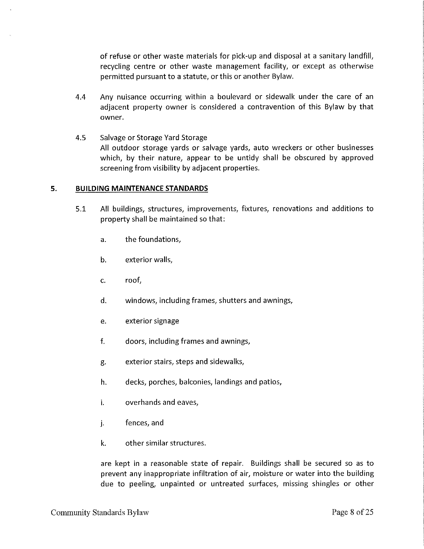of refuse or other waste materials for pick-up and disposal at a sanitary landfill, recycling centre or other waste management facility, or except as otherwise permitted pursuant to a statute, or this or another Bylaw.

- 4.4 Any nuisance occurring within a boulevard or sidewalk under the care of an adjacent property owner is considered a contravention of this Bylaw by that owner.
- 4.5 Salvage or Storage Yard Storage All outdoor storage yards or salvage yards, auto wreckers or other businesses which, by their nature, appear to be untidy shall be obscured by approved screening from visibility by adjacent properties.

#### **5. BUILDING MAINTENANCE STANDARDS**

- 5.1 All buildings, structures, improvements, fixtures, renovations and additions to property shall be maintained so that:
	- a. the foundations,
	- b. exterior walls,
	- c. roof,
	- d. windows, including frames, shutters and awnings,
	- e. exterior signage
	- f. doors, including frames and awnings,
	- g. exterior stairs, steps and sidewalks,
	- h. decks, porches, balconies, landings and patios,
	- i. overhands and eaves,
	- j. fences, and
	- k. other similar structures.

are kept in a reasonable state of repair. Buildings shall be secured so as to prevent any inappropriate infiltration of air, moisture or water into the building due to peeling, unpainted or untreated surfaces, missing shingles or other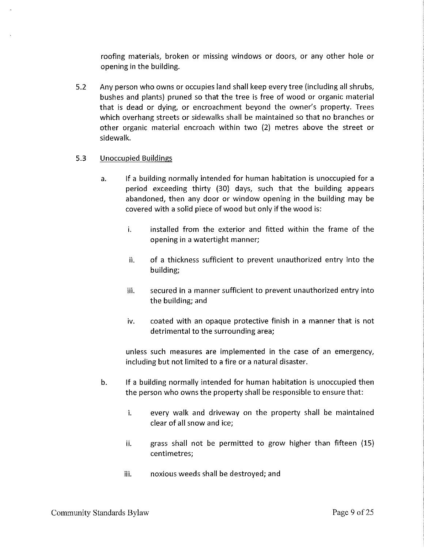roofing materials, broken or missing windows or doors, or any other hole or opening in the building.

5.2 Any person who owns or occupies land shall keep every tree (including all shrubs, bushes and plants) pruned so that the tree is free of wood or organic material that is dead or dying, or encroachment beyond the owner's property. Trees which overhang streets or sidewalks shall be maintained so that no branches or other organic material encroach within two (2) metres above the street or sidewalk.

## 5.3 Unoccupied Buildings

- a. If a building normally intended for human habitation is unoccupied for a period exceeding thirty (30) days, such that the building appears abandoned, then any door or window opening in the building may be covered with a solid piece of wood but only if the wood is:
	- i. installed from the exterior and fitted within the frame of the opening in a watertight manner;
	- ii. of a thickness sufficient to prevent unauthorized entry into the building;
	- iii. secured in a manner sufficient to prevent unauthorized entry into the building; and
	- iv. coated with an opaque protective finish in a manner that is not detrimental to the surrounding area;

unless such measures are implemented in the case of an emergency, including but not limited to a fire or a natural disaster.

- b. If a building normally intended for human habitation is unoccupied then the person who owns the property shall be responsible to ensure that:
	- i. every walk and driveway on the property shall be maintained clear of all snow and ice;
	- ii. grass shall not be permitted to grow higher than fifteen (15) centimetres;
	- iii. noxious weeds shall be destroyed; and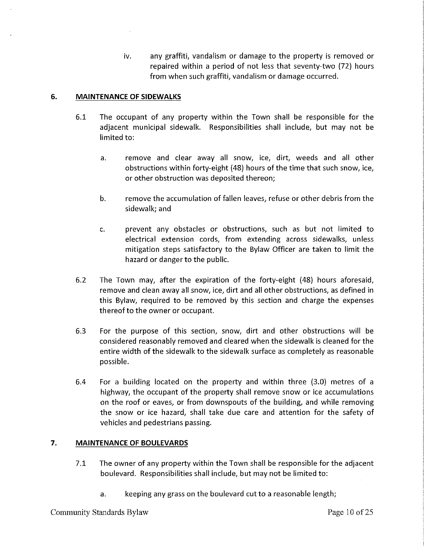iv. any graffiti, vandalism or damage to the property is removed or repaired within a period of not less that seventy-two (72} hours from when such graffiti, vandalism or damage occurred.

### **6. MAINTENANCE OF SIDEWALKS**

- 6.1 The occupant of any property within the Town shall be responsible for the adjacent municipal sidewalk. Responsibilities shall include, but may not be limited to:
	- a. remove and clear away all snow, ice, dirt, weeds and all other obstructions within forty-eight (48} hours of the time that such snow, ice, or other obstruction was deposited thereon;
	- b. remove the accumulation of fallen leaves, refuse or other debris from the sidewalk; and
	- c. prevent any obstacles or obstructions, such as but not limited to electrical extension cords, from extending across sidewalks, unless mitigation steps satisfactory to the Bylaw Officer are taken to limit the hazard or danger to the public.
- 6.2 The Town may, after the expiration of the forty-eight (48} hours aforesaid, remove and clean away all snow, ice, dirt and all other obstructions, as defined in this Bylaw, required to be removed by this section and charge the expenses thereof to the owner or occupant.
- 6.3 For the purpose of this section, snow, dirt and other obstructions will be considered reasonably removed and cleared when the sidewalk is cleaned for the entire width of the sidewalk to the sidewalk surface as completely as reasonable possible.
- 6.4 For a building located on the property and within three (3.0) metres of a highway, the occupant of the property shall remove snow or ice accumulations on the roof or eaves, or from downspouts of the building, and while removing the snow or ice hazard, shall take due care and attention for the safety of vehicles and pedestrians passing.

# **7. MAINTENANCE OF BOULEVARDS**

- 7.1 The owner of any property within the Town shall be responsible for the adjacent boulevard. Responsibilities shall include, but may not be limited to:
	- a. keeping any grass on the boulevard cut to a reasonable length;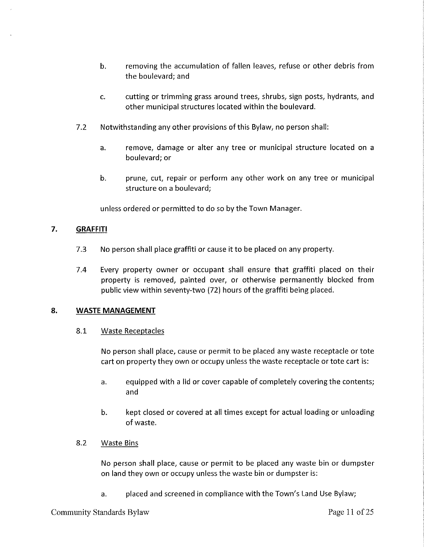- b. removing the accumulation of fallen leaves, refuse or other debris from the boulevard; and
- c. cutting or trimming grass around trees, shrubs, sign posts, hydrants, and other municipal structures located within the boulevard.
- 7.2 Notwithstanding any other provisions of this Bylaw, no person shall:
	- a. remove, damage or alter any tree or municipal structure located on a boulevard; or
	- b. prune, cut, repair or perform any other work on any tree or municipal structure on a boulevard;

unless ordered or permitted to do so by the Town Manager.

# **7. GRAFFITI**

- 7.3 No person shall place graffiti or cause it to be placed on any property.
- 7.4 Every property owner or occupant shall ensure that graffiti placed on their property is removed, painted over, or otherwise permanently blocked from public view within seventy-two (72) hours of the graffiti being placed.

## **8. WASTE MANAGEMENT**

8.1 Waste Receptacles

No person shall place, cause or permit to be placed any waste receptacle or tote cart on property they own or occupy unless the waste receptacle or tote cart is:

- a. equipped with a lid or cover capable of completely covering the contents; and
- b. kept closed or covered at all times except for actual loading or unloading of waste.
- 8.2 Waste Bins

No person shall place, cause or permit to be placed any waste bin or dumpster on land they own or occupy unless the waste bin or dumpster is:

a. placed and screened in compliance with the Town's Land Use Bylaw;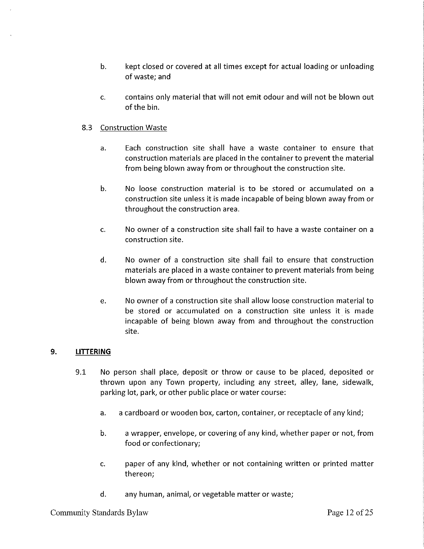- b. kept closed or covered at all times except for actual loading or unloading of waste; and
- c. contains only material that will not emit odour and will not be blown out of the bin.

## 8.3 Construction Waste

- a. Each construction site shall have a waste container to ensure that construction materials are placed in the container to prevent the material from being blown away from or throughout the construction site.
- b. No loose construction material is to be stored or accumulated on a construction site unless it is made incapable of being blown away from or throughout the construction area.
- c. No owner of a construction site shall fail to have a waste container on a construction site.
- d. No owner of a construction site shall fail to ensure that construction materials are placed in a waste container to prevent materials from being blown away from or throughout the construction site.
- e. No owner of a construction site shall allow loose construction material to be stored or accumulated on a construction site unless it is made incapable of being blown away from and throughout the construction site.

## **9. LITTERING**

- 9.1 No person shall place, deposit or throw or cause to be placed, deposited or thrown upon any Town property, including any street, alley, lane, sidewalk, parking lot, park, or other public place or water course:
	- a. a cardboard or wooden box, carton, container, or receptacle of any kind;
	- b. a wrapper, envelope, or covering of any kind, whether paper or not, from food or confectionary;
	- c. paper of any kind, whether or not containing written or printed matter thereon;
	- d. any human, animal, or vegetable matter or waste;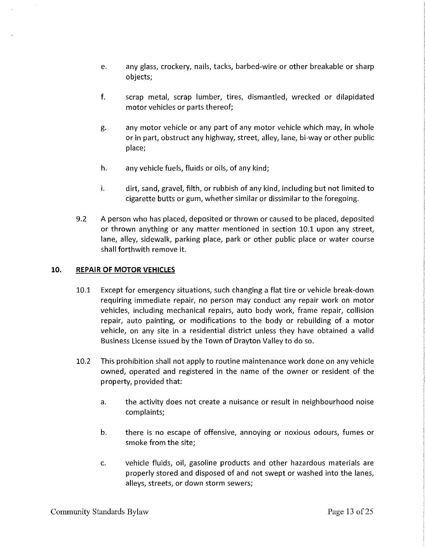- e. any glass, crockery, nails, tacks, barbed-wire or other breakable or sharp objects;
- f. scrap metal, scrap lumber, tires, dismantled, wrecked or dilapidated motor vehicles or parts thereof;
- g. any motor vehicle or any part of any motor vehicle which may, in whole or in part, obstruct any highway, street, alley, lane, bi-way or other public place;
- h. any vehicle fuels, fluids or oils, of any kind;
- i. dirt, sand, gravel, filth, or rubbish of any kind, including but not limited to cigarette butts or gum, whether similar or dissimilar to the foregoing.
- 9.2 A person who has placed, deposited or thrown or caused to be placed, deposited or thrown anything or any matter mentioned in section 10.1 upon any street, lane, alley, sidewalk, parking place, park or other public place or water course shall forthwith remove it.

## 10. **REPAIR OF MOTOR VEHICLES**

- 10.1 Except for emergency situations, such changing a flat tire or vehicle break-down requiring immediate repair, no person may conduct any repair work on motor vehicles, including mechanical repairs, auto body work, frame repair, collision repair, auto painting, or modifications to the body or rebuilding of a motor vehicle, on any site in a residential district unless they have obtained a valid Business License issued by the Town of Drayton Valley to do so.
- 10.2 This prohibition shall not apply to routine maintenance work done on any vehicle owned, operated and registered in the name of the owner or resident of the property, provided that:
	- a. the activity does not create a nuisance or result in neighbourhood noise complaints;
	- b. there is no escape of offensive, annoying or noxious odours, fumes or smoke from the site;
	- c. vehicle fluids, oil, gasoline products and other hazardous materials are properly stored and disposed of and not swept or washed into the lanes, alleys, streets, or down storm sewers;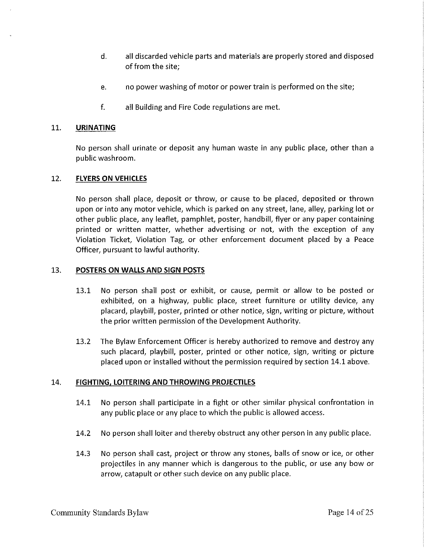- d. all discarded vehicle parts and materials are properly stored and disposed of from the site;
- e. no power washing of motor or power train is performed on the site;
- f. all Building and Fire Code regulations are met.

## 11. **URINATING**

No person shall urinate or deposit any human waste in any public place, other than a public washroom.

## 12. **FLYERS ON VEHICLES**

No person shall place, deposit or throw, or cause to be placed, deposited or thrown upon or into any motor vehicle, which is parked on any street, lane, alley, parking lot or other public place, any leaflet, pamphlet, poster, handbill, flyer or any paper containing printed or written matter, whether advertising or not, with the exception of any Violation Ticket, Violation Tag, or other enforcement document placed by a Peace Officer, pursuant to lawful authority.

#### 13. **POSTERS ON WALLS AND SIGN POSTS**

- 13.1 No person shall post or exhibit, or cause, permit or allow to be posted or exhibited, on a highway, public place, street furniture or utility device, any placard, playbill, poster, printed or other notice, sign, writing or picture, without the prior written permission of the Development Authority.
- 13.2 The Bylaw Enforcement Officer is hereby authorized to remove and destroy any such placard, playbill, poster, printed or other notice, sign, writing or picture placed upon or installed without the permission required by section 14.1 above.

## 14. **FIGHTING, LOITERING AND THROWING PROJECTILES**

- 14.1 No person shall participate in a fight or other similar physical confrontation in any public place or any place to which the public is allowed access.
- 14.2 No person shall loiter and thereby obstruct any other person in any public place.
- 14.3 No person shall cast, project or throw any stones, balls of snow or ice, or other projectiles in any manner which is dangerous to the public, or use any bow or arrow, catapult or other such device on any public place.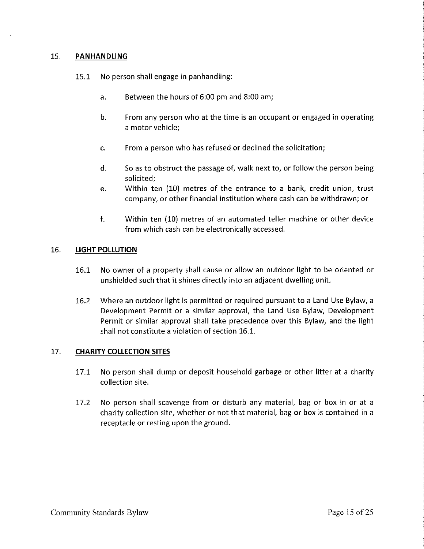## 15. **PANHANDLING**

- 15.1 No person shall engage in panhandling:
	- a. Between the hours of 6:00 pm and 8:00 am;
	- b. From any person who at the time is an occupant or engaged in operating a motor vehicle;
	- c. From a person who has refused or declined the solicitation;
	- d. So as to obstruct the passage of, walk next to, or follow the person being solicited;
	- e. Within ten (10) metres of the entrance to a bank, credit union, trust company, or other financial institution where cash can be withdrawn; or
	- f. Within ten (10) metres of an automated teller machine or other device from which cash can be electronically accessed.

#### 16. **LIGHT POLLUTION**

- 16.1 No owner of a property shall cause or allow an outdoor light to be oriented or unshielded such that it shines directly into an adjacent dwelling unit.
- 16.2 Where an outdoor light is permitted or required pursuant to a Land Use Bylaw, a Development Permit or a similar approval, the Land Use Bylaw, Development Permit or similar approval shall take precedence over this Bylaw, and the light shall not constitute a violation of section 16.1.

### 17. **CHARITY COLLECTION SITES**

- 17.1 No person shall dump or deposit household garbage or other litter at a charity collection site.
- 17.2 No person shall scavenge from or disturb any material, bag or box in or at a charity collection site, whether or not that material, bag or box is contained in a receptacle or resting upon the ground.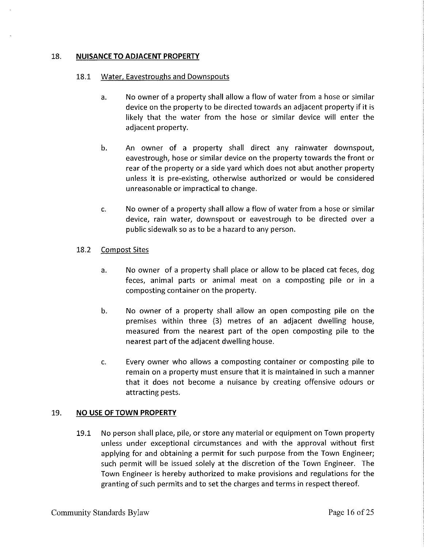### 18. **NUISANCE TO ADJACENT PROPERTY**

#### 18.1 Water, Eavestroughs and Downspouts

- a. No owner of a property shall allow a flow of water from a hose or similar device on the property to be directed towards an adjacent property if it is likely that the water from the hose or similar device will enter the adjacent property.
- b. An owner of a property shall direct any rainwater downspout, eavestrough, hose or similar device on the property towards the front or rear of the property or a side yard which does not abut another property unless it is pre-existing, otherwise authorized or would be considered unreasonable or impractical to change.
- c. No owner of a property shall allow a flow of water from a hose or similar device, rain water, downspout or eavestrough to be directed over a public sidewalk so as to be a hazard to any person.

## 18.2 Compost Sites

- a. No owner of a property shall place or allow to be placed cat feces, dog feces, animal parts or animal meat on a composting pile or in a composting container on the property.
- b. No owner of a property shall allow an open composting pile on the premises within three (3) metres of an adjacent dwelling house, measured from the nearest part of the open composting pile to the nearest part of the adjacent dwelling house.
- c. Every owner who allows a composting container or composting pile to remain on a property must ensure that it is maintained in such a manner that it does not become a nuisance by creating offensive odours or attracting pests.

#### 19. **NO USE OF TOWN PROPERTY**

19.1 No person shall place, pile, or store any material or equipment on Town property unless under exceptional circumstances and with the approval without first applying for and obtaining a permit for such purpose from the Town Engineer; such permit will be issued solely at the discretion of the Town Engineer. The Town Engineer is hereby authorized to make provisions and regulations for the granting of such permits and to set the charges and terms in respect thereof.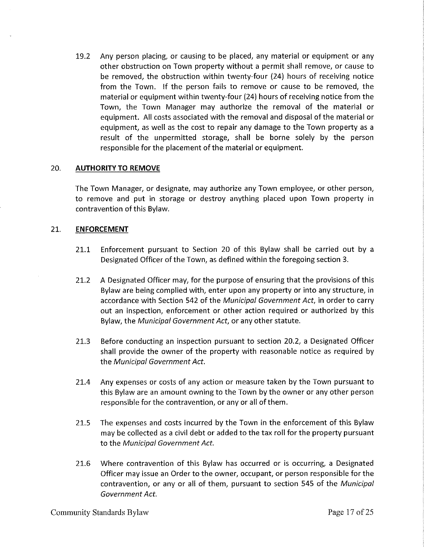19.2 Any person placing, or causing to be placed, any material or equipment or any other obstruction on Town property without a permit shall remove, or cause to be removed, the obstruction within twenty-four (24) hours of receiving notice from the Town. If the person fails to remove or cause to be removed, the material or equipment within twenty-four (24) hours of receiving notice from the Town, the Town Manager may authorize the removal of the material or equipment. All costs associated with the removal and disposal of the material or equipment, as well as the cost to repair any damage to the Town property as a result of the unpermitted storage, shall be borne solely by the person responsible for the placement of the material or equipment.

## 20. **AUTHORITY TO REMOVE**

The Town Manager, or designate, may authorize any Town employee, or other person, to remove and put in storage or destroy anything placed upon Town property in contravention of this Bylaw.

#### 21. **ENFORCEMENT**

- 21.1 Enforcement pursuant to Section 20 of this Bylaw shall be carried out by a Designated Officer of the Town, as defined within the foregoing section 3.
- 21.2 A Designated Officer may, for the purpose of ensuring that the provisions of this Bylaw are being complied with, enter upon any property or into any structure, in accordance with Section 542 of the Municipal Government Act, in order to carry out an inspection, enforcement or other action required or authorized by this Bylaw, the Municipal Government Act, or any other statute.
- 21.3 Before conducting an inspection pursuant to section 20.2, a Designated Officer shall provide the owner of the property with reasonable notice as required by the Municipal Government Act.
- 21.4 Any expenses or costs of any action or measure taken by the Town pursuant to this Bylaw are an amount owning to the Town by the owner or any other person responsible for the contravention, or any or all of them.
- 21.5 The expenses and costs incurred by the Town in the enforcement of this Bylaw may be collected as a civil debt or added to the tax roll for the property pursuant to the Municipal Government Act.
- 21.6 Where contravention of this Bylaw has occurred or is occurring, a Designated Officer may issue an Order to the owner, occupant, or person responsible for the contravention, or any or all of them, pursuant to section 545 of the Municipal Government Act.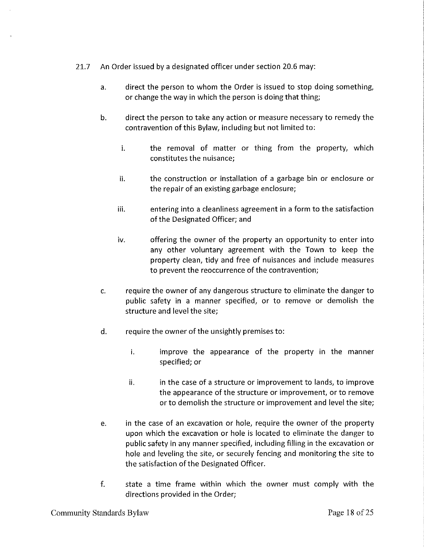- 21.7 An Order issued by a designated officer under section 20.6 may:
	- a. direct the person to whom the Order is issued to stop doing something, or change the way in which the person is doing that thing;
	- b. direct the person to take any action or measure necessary to remedy the contravention of this Bylaw, including but not limited to:
		- i. the removal of matter or thing from the property, which constitutes the nuisance;
		- ii. the construction or installation of a garbage bin or enclosure or the repair of an existing garbage enclosure;
		- iii. entering into a cleanliness agreement in a form to the satisfaction of the Designated Officer; and
		- iv. offering the owner of the property an opportunity to enter into any other voluntary agreement with the Town to keep the property clean, tidy and free of nuisances and include measures to prevent the reoccurrence of the contravention;
	- c. require the owner of any dangerous structure to eliminate the danger to public safety in a manner specified, or to remove or demolish the structure and level the site;
	- d. require the owner of the unsightly premises to:
		- i. improve the appearance of the property in the manner specified; or
		- ii. **in the case of a structure or improvement to lands, to improve** the appearance of the structure or improvement, or to remove or to demolish the structure or improvement and level the site;
	- e. in the case of an excavation or hole, require the owner of the property upon which the excavation or hole is located to eliminate the danger to public safety in any manner specified, including filling in the excavation or hole and leveling the site, or securely fencing and monitoring the site to the satisfaction of the Designated Officer.
	- f. state a time frame within which the owner must comply with the directions provided in the Order;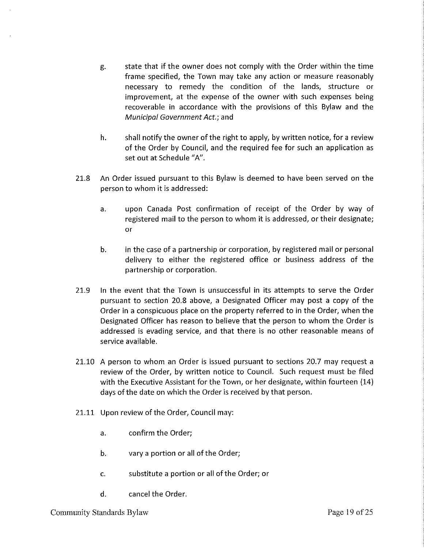- g. state that if the owner does not comply with the Order within the time frame specified, the Town may take any action or measure reasonably necessary to remedy the condition of the lands, structure or improvement, at the expense of the owner with such expenses being recoverable in accordance with the provisions of this Bylaw and the Municipal Government Act.; and
- h. shall notify the owner of the right to apply, by written notice, for a review of the Order by Council, and the required fee for such an application as set out at Schedule "A".
- 21.8 An Order issued pursuant to this Bylaw is deemed to have been served on the person to whom it is addressed:
	- a. upon Canada Post confirmation of receipt of the Order by way of registered mail to the person to whom it is addressed, or their designate; or
	- b. in the case of a partnership or corporation, by registered mail or personal delivery to either the registered office or business address of the partnership or corporation.
- 21.9 In the event that the Town is unsuccessful in its attempts to serve the Order pursuant to section 20.8 above, a Designated Officer may post a copy of the Order in a conspicuous place on the property referred to in the Order, when the Designated Officer has reason to believe that the person to whom the Order is addressed is evading service, and that there is no other reasonable means of service available.
- 21.10 A person to whom an Order is issued pursuant to sections 20.7 may request a review of the Order, by written notice to Council. Such request must be filed with the Executive Assistant for the Town, or her designate, within fourteen (14) days of the date on which the Order is received by that person.
- 21.11 Upon review of the Order, Council may:
	- a. confirm the Order;
	- b. vary a portion or all of the Order;
	- c. substitute a portion or all ofthe Order; or
	- d. cancel the Order.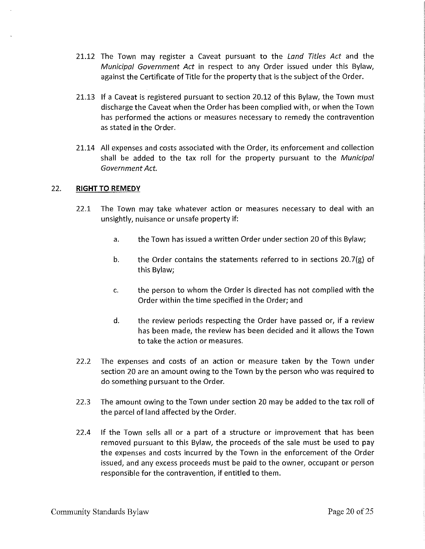- 21.12 The Town may register a Caveat pursuant to the Land Titles Act and the Municipal Government Act in respect to any Order issued under this Bylaw, against the Certificate of Title for the property that is the subject of the Order.
- 21.13 If a Caveat is registered pursuant to section 20.12 of this Bylaw, the Town must discharge the Caveat when the Order has been complied with, or when the Town has performed the actions or measures necessary to remedy the contravention as stated in the Order.
- 21.14 All expenses and costs associated with the Order, its enforcement and collection shall be added to the tax roll for the property pursuant to the Municipal Government Act.

#### 22. **RIGHT TO REMEDY**

- 22.1 The Town may take whatever action or measures necessary to deal with an unsightly, nuisance or unsafe property if:
	- a. the Town has issued a written Order under section 20 of this Bylaw;
	- b. the Order contains the statements referred to in sections  $20.7(g)$  of this Bylaw;
	- c. the person to whom the Order is directed has not complied with the Order within the time specified in the Order; and
	- d. the review periods respecting the Order have passed or, if a review has been made, the review has been decided and it allows the Town to take the action or measures.
- 22.2 The expenses and costs of an action or measure taken by the Town under section 20 are an amount owing to the Town by the person who was required to do something pursuant to the Order.
- 22.3 The amount owing to the Town under section 20 may be added to the tax roll of the parcel of land affected by the Order.
- 22.4 If the Town sells all or a part of a structure or improvement that has been removed pursuant to this Bylaw, the proceeds of the sale must be used to pay the expenses and costs incurred by the Town in the enforcement of the Order issued, and any excess proceeds must be paid to the owner, occupant or person responsible for the contravention, if entitled to them.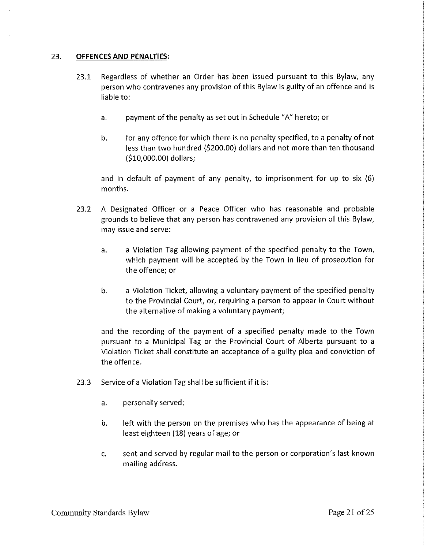### 23. **OFFENCES AND PENALTIES:**

- 23.1 Regardless of whether an Order has been issued pursuant to this Bylaw, any person who contravenes any provision of this Bylaw is guilty of an offence and is liable to:
	- a. payment of the penalty as set out in Schedule "A" hereto; or
	- b. for any offence for which there is no penalty specified, to a penalty of not less than two hundred (\$200.00) dollars and not more than ten thousand (\$10,000.00) dollars;

and in default of payment of any penalty, to imprisonment for up to six (6) months.

- 23.2 A Designated Officer or a Peace Officer who has reasonable and probable grounds to believe that any person has contravened any provision of this Bylaw, may issue and serve:
	- a. a Violation Tag allowing payment of the specified penalty to the Town, which payment will be accepted by the Town in lieu of prosecution for the offence; or
	- b. a Violation Ticket, allowing a voluntary payment of the specified penalty to the Provincial Court, or, requiring a person to appear in Court without the alternative of making a voluntary payment;

and the recording of the payment of a specified penalty made to the Town pursuant to a Municipal Tag or the Provincial Court of Alberta pursuant to a Violation Ticket shall constitute an acceptance of a guilty plea and conviction of the offence.

- 23.3 Service of a Violation Tag shall be sufficient if it is:
	- a. personally served;
	- b. left with the person on the premises who has the appearance of being at least eighteen (18) years of age; or
	- c. sent and served by regular mail to the person or corporation's last known mailing address.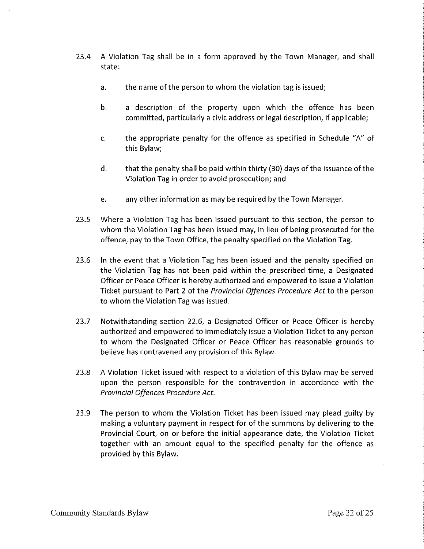- 23.4 A Violation Tag shall be in a form approved by the Town Manager, and shall state:
	- a. the name of the person to whom the violation tag is issued;
	- b. a description of the property upon which the offence has been committed, particularly a civic address or legal description, if applicable;
	- c. the appropriate penalty for the offence as specified in Schedule "A" of this Bylaw;
	- d. that the penalty shall be paid within thirty (30) days of the issuance of the Violation Tag in order to avoid prosecution; and
	- e. any other information as may be required by the Town Manager.
- 23.5 Where a Violation Tag has been issued pursuant to this section, the person to whom the Violation Tag has been issued may, in lieu of being prosecuted for the offence, pay to the Town Office, the penalty specified on the Violation Tag.
- 23.6 In the event that a Violation Tag has been issued and the penalty specified on the Violation Tag has not been paid within the prescribed time, a Designated Officer or Peace Officer is hereby authorized and empowered to issue a Violation Ticket pursuant to Part 2 of the *Provincial Offences Procedure Act* to the person to whom the Violation Tag was issued.
- 23.7 Notwithstanding section 22.6, a Designated Officer or Peace Officer is hereby authorized and empowered to immediately issue a Violation Ticket to any person to whom the Designated Officer or Peace Officer has reasonable grounds to believe has contravened any provision of this Bylaw.
- 23.8 A Violation Ticket issued with respect to a violation of this Bylaw may be served upon the person responsible for the contravention in accordance with the *Provincial Offences Procedure Act.*
- 23.9 The person to whom the Violation Ticket has been issued may plead guilty by making a voluntary payment in respect for of the summons by delivering to the Provincial Court, on or before the initial appearance date, the Violation Ticket together with an amount equal to the specified penalty for the offence as provided by this Bylaw.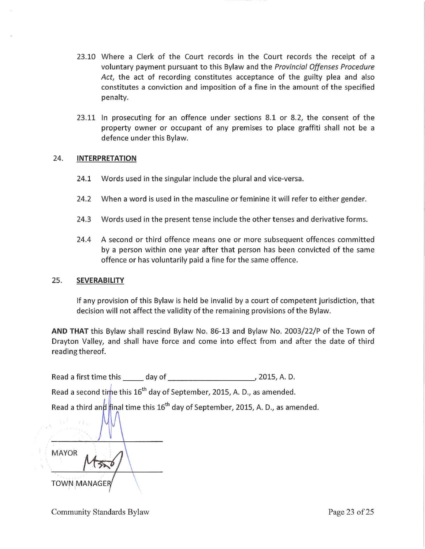- 23.10 Where a Clerk of the Court records in the Court records the receipt of a voluntary payment pursuant to this Bylaw and the *Provincial Offenses Procedure Act,* the act of recording constitutes acceptance of the guilty plea and also constitutes a conviction and imposition of a fine in the amount of the specified penalty.
- 23.11 In prosecuting for an offence under sections 8.1 or 8.2, the consent of the property owner or occupant of any premises to place graffiti shall not be a defence under this Bylaw.

## 24. **INTERPRETATION**

- 24.1 Words used in the singular include the plural and vice-versa.
- 24.2 When a word is used in the masculine or feminine it will refer to either gender.
- 24.3 Words used in the present tense include the other tenses and derivative forms.
- 24.4 A second or third offence means one or more subsequent offences committed by a person within one year after that person has been convicted of the same offence or has voluntarily paid a fine for the same offence.

#### 25. **SEVERABILITY**

If any provision of this Bylaw is held be invalid by a court of competent jurisdiction, that decision will not affect the validity of the remaining provisions of the Bylaw.

**AND THAT** this Bylaw shall rescind Bylaw No. 86-13 and Bylaw No. 2003/22/P of the Town of Drayton Valley, and shall have force and come into effect from and after the date of third reading thereof.

Read a first time this \_\_ day of 2015, A. D.

Read a second time this 16<sup>th</sup> day of September, 2015, A. D., as amended.

Read a third and final time this  $16<sup>th</sup>$  day of September, 2015, A. D., as amended.

MAYOR  $\overline{\phantom{0}}$ **TOWN MANAGER**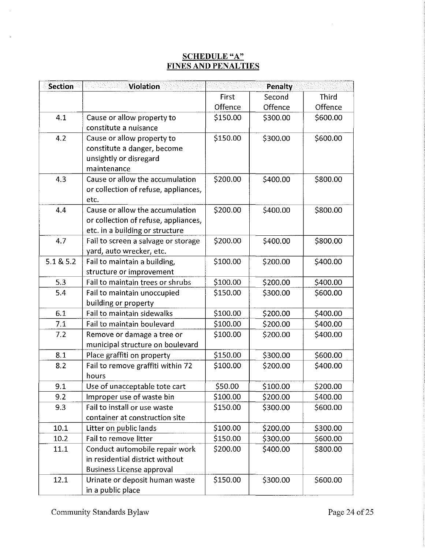# **SCHEDULE"A" FINES AND PENAL TIES**

| <b>Section</b> | <b>Violation</b>                                                                                           |          | Penalty  |          |
|----------------|------------------------------------------------------------------------------------------------------------|----------|----------|----------|
|                |                                                                                                            | First    | Second   | Third    |
|                |                                                                                                            | Offence  | Offence  | Offence  |
| 4.1            | Cause or allow property to<br>constitute a nuisance                                                        | \$150.00 | \$300.00 | \$600.00 |
| 4.2            | Cause or allow property to<br>constitute a danger, become<br>unsightly or disregard<br>maintenance         | \$150.00 | \$300.00 | \$600.00 |
| 4.3            | Cause or allow the accumulation<br>or collection of refuse, appliances,<br>etc.                            | \$200.00 | \$400.00 | \$800.00 |
| 4.4            | Cause or allow the accumulation<br>or collection of refuse, appliances,<br>etc. in a building or structure | \$200.00 | \$400.00 | \$800.00 |
| 4.7            | Fail to screen a salvage or storage<br>yard, auto wrecker, etc.                                            | \$200.00 | \$400.00 | \$800.00 |
| 5.1 & 5.2      | Fail to maintain a building,<br>structure or improvement                                                   | \$100.00 | \$200.00 | \$400.00 |
| 5.3            | Fail to maintain trees or shrubs                                                                           | \$100.00 | \$200.00 | \$400.00 |
| 5.4            | Fail to maintain unoccupied<br>building or property                                                        | \$150.00 | \$300.00 | \$600.00 |
| 6.1            | Fail to maintain sidewalks                                                                                 | \$100.00 | \$200.00 | \$400.00 |
| 7.1            | Fail to maintain boulevard                                                                                 | \$100.00 | \$200.00 | \$400.00 |
| 7.2            | Remove or damage a tree or<br>municipal structure on boulevard                                             | \$100.00 | \$200.00 | \$400.00 |
| 8.1            | Place graffiti on property                                                                                 | \$150.00 | \$300.00 | \$600.00 |
| 8.2            | Fail to remove graffiti within 72<br>hours                                                                 | \$100.00 | \$200.00 | \$400.00 |
| 9.1            | Use of unacceptable tote cart                                                                              | \$50.00  | \$100.00 | \$200.00 |
| 9.2            | Improper use of waste bin                                                                                  | \$100.00 | \$200.00 | \$400.00 |
| 9.3            | Fail to install or use waste<br>container at construction site                                             | \$150.00 | \$300.00 | \$600.00 |
| 10.1           | Litter on public lands                                                                                     | \$100.00 | \$200.00 | \$300.00 |
| 10.2           | Fail to remove litter                                                                                      | \$150.00 | \$300.00 | \$600.00 |
| 11.1           | Conduct automobile repair work<br>in residential district without<br><b>Business License approval</b>      | \$200.00 | \$400.00 | \$800.00 |
| 12.1           | Urinate or deposit human waste<br>in a public place                                                        | \$150.00 | \$300.00 | \$600.00 |